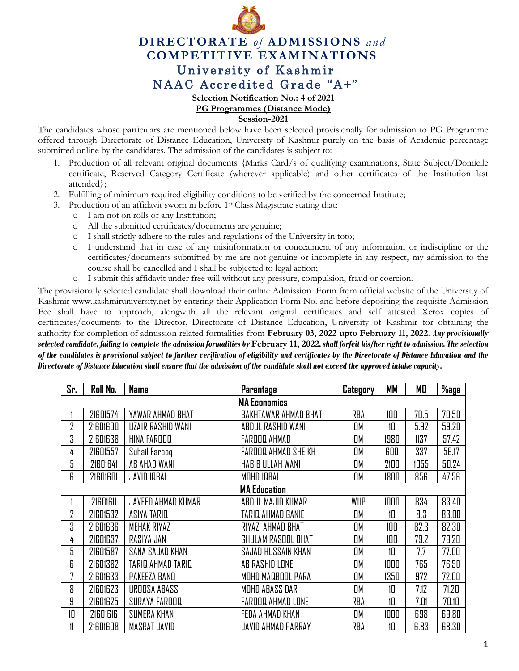

## **DIRECTORATE** *of* **ADMISSIONS** *and* **COMPETITIVE EXAMINATIONS** University of Kashmir NAAC Accredited Grade "A+"

**Selection Notification No.: 4 of 2021**

**PG Programmes (Distance Mode)**

**Session-2021**

The candidates whose particulars are mentioned below have been selected provisionally for admission to PG Programme offered through Directorate of Distance Education, University of Kashmir purely on the basis of Academic percentage submitted online by the candidates. The admission of the candidates is subject to:

- 1. Production of all relevant original documents {Marks Card/s of qualifying examinations, State Subject/Domicile certificate, Reserved Category Certificate (wherever applicable) and other certificates of the Institution last attended};
- 2. Fulfilling of minimum required eligibility conditions to be verified by the concerned Institute;
- 3. Production of an affidavit sworn in before 1st Class Magistrate stating that:
	- o I am not on rolls of any Institution;
	- o All the submitted certificates/documents are genuine;
	- o I shall strictly adhere to the rules and regulations of the University in toto;
	- o I understand that in case of any misinformation or concealment of any information or indiscipline or the certificates/documents submitted by me are not genuine or incomplete in any respect**,** my admission to the course shall be cancelled and I shall be subjected to legal action;
	- o I submit this affidavit under free will without any pressure, compulsion, fraud or coercion.

The provisionally selected candidate shall download their online Admission Form from official website of the University of Kashmir [www.kashmiruniversity.net](http://www.kashmiruniversity.net/) by entering their Application Form No. and before depositing the requisite Admission Fee shall have to approach, alongwith all the relevant original certificates and self attested Xerox copies of certificates/documents to the Director, Directorate of Distance Education, University of Kashmir for obtaining the authority for completion of admission related formalities from **February 03, 2022 upto February 11, 2022**. *Any provisionally selected candidate, failing to complete the admission formalities by* **February 11, 2022***, shall forfeit his/her right to admission. The selection of the candidates is provisional subject to further verification of eligibility and certificates by the Directorate of Distance Education and the Directorate of Distance Education shall ensure that the admission of the candidate shall not exceed the approved intake capacity.*

| Sr.                 | Roll No.            | <b>Name</b>        | Parentage            | Category  | MМ   | МO   | $%$ age |  |
|---------------------|---------------------|--------------------|----------------------|-----------|------|------|---------|--|
| <b>MA Economics</b> |                     |                    |                      |           |      |      |         |  |
|                     | 21601574            | YAWAR AHMAD BHAT   | BAKHTAWAR AHMAD BHAT | RBA       | 100  | 70.5 | 70.50   |  |
| 2                   | 21601600            | UZAIR RASHID WANI  | ABDUL RASHID WANI    | OM        | 10   | 5.92 | 59.20   |  |
| 3                   | 21601638            | HINA FAROOQ        | FAROOQ AHMAD         | <b>DM</b> | 1980 | 1137 | 57.42   |  |
| 4                   | 21601557            | Suhail Farooq      | FAROOQ AHMAD SHEIKH  | OM        | 600  | 337  | 56.17   |  |
| 5                   | 21601641            | AB AHAD WANI       | HABIB ULLAH WANI     | OM        | 2100 | 1055 | 50.24   |  |
| 6                   | 21601601            | <b>JAVID IQBAL</b> | <b>MOHD IQBAL</b>    | OM        | 1800 | 856  | 47.56   |  |
|                     | <b>MA Education</b> |                    |                      |           |      |      |         |  |
|                     | 21601611            | JAVEED AHMAD KUMAR | ABDUL MAJID KUMAR    | WUP       | 1000 | 834  | 83.40   |  |
| 2                   | 21601532            | ASIYA TARIQ        | TARIQ AHMAD GANIE    | OM        | 10   | 8.3  | 83.00   |  |
| 3                   | 21601636            | <b>MEHAK RIYAZ</b> | RIYAZ AHMAD BHAT     | OM        | 100  | 82.3 | 82.30   |  |
| 4                   | 21601637            | RASIYA JAN         | GHULAM RASOOL BHAT   | OM        | 100  | 79.2 | 79.20   |  |
| 5                   | 21601587            | SANA SAJAD KHAN    | SAJAD HUSSAIN KHAN   | OM        | 10   | 7.7  | 77.00   |  |
| 6                   | 21601382            | TARIQ AHMAD TARIQ  | AB RASHID LONE       | OM        | 1000 | 765  | 76.50   |  |
| 7                   | 21601633            | PAKEEZA BAND       | MOHD MADBOOL PARA    | OM        | 1350 | 972  | 72.00   |  |
| 8                   | 21601623            | UROOSA ABASS       | MOHD ABASS DAR       | OM        | 10   | 7.12 | 71.20   |  |
| 9                   | 21601625            | SURAYA FAROOQ      | FAROOQ AHMAD LONE    | RBA       | 10   | 7.01 | 70.10   |  |
| 10                  | 21601616            | SUMERA KHAN        | FEDA AHMAD KHAN      | OM        | 1000 | 698  | 69.80   |  |
|                     | 21601608            | MASRAT JAVID       | JAVID AHMAD PARRAY   | RBA       | 10   | 6.83 | 68.30   |  |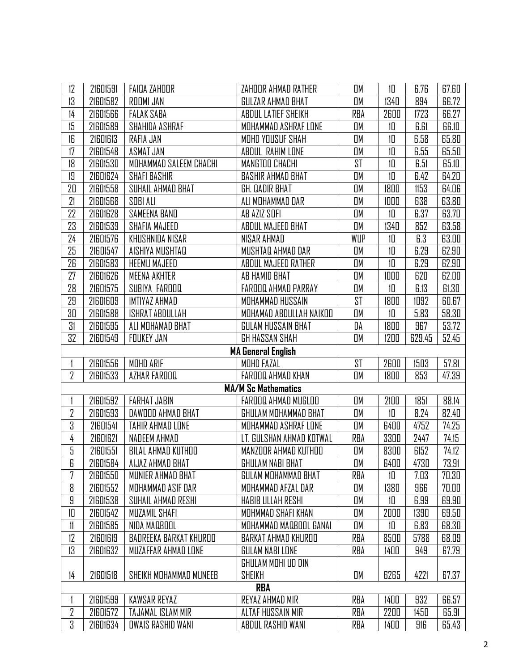| 12             | 21601591                  | <b>FAIDA ZAHOOR</b>      | ZAHOOR AHMAD RATHER        | OM  | 10   | 6.76   | 67.60 |  |
|----------------|---------------------------|--------------------------|----------------------------|-----|------|--------|-------|--|
| 13             | 21601582                  | ROOMI JAN                | GULZAR AHMAD BHAT          | OM  | 1340 | 894    | 66.72 |  |
| $\frac{1}{4}$  | 21601566                  | <b>FALAK SABA</b>        | ABDUL LATIEF SHEIKH        | RBA | 2600 | 1723   | 66.27 |  |
| 15             | 21601589                  | SHAHIDA ASHRAF           | MOHAMMAD ASHRAF LONE       | OM  | 10   | 6.61   | 66.10 |  |
| 16             | 21601613                  | RAFIA JAN                | MOHD YOUSUF SHAH           | OM  | 10   | 6.58   | 65.80 |  |
| 17             | 21601548                  | ASMAT JAN                | ABDUL RAHIM LONE           | OM  | 10   | 6.55   | 65.50 |  |
| 18             | 21601530                  | MOHAMMAD SALEEM CHACHI   | MANGTOO CHACHI             | ST  | 10   | 6.51   | 65.10 |  |
| 19             | 21601624                  | <b>SHAFI BASHIR</b>      | <b>BASHIR AHMAD BHAT</b>   | OM  | 10   | 6.42   | 64.20 |  |
| 20             | 21601558                  | SUHAIL AHMAD BHAT        | GH. QADIR BHAT             | OM  | 1800 | 1153   | 64.06 |  |
| 21             | 21601568                  | SOBI ALI                 | ALI MOHAMMAD DAR           | OM  | 1000 | 638    | 63.80 |  |
| 22             | 21601628                  | SAMEENA BAND             | AB AZIZ SOFI               | OM  | 10   | 6.37   | 63.70 |  |
| 23             | 21601539                  | SHAFIA MAJEED            | ABDUL MAJEED BHAT          | OM  | 1340 | 852    | 63.58 |  |
| 24             | 21601576                  | KHUSHNIDA NISAR          | NISAR AHMAD                | WUP | 10   | 6.3    | 63.00 |  |
| 25             | 21601547                  | AISHIYA MUSHTAQ          | MUSHTAQ AHMAD DAR          | OM  | 10   | 6.29   | 62.90 |  |
| 26             | 21601583                  | <b>HEEMU MAJEED</b>      | ABDUL MAJEED RATHER        | OM  | 10   | 6.29   | 62.90 |  |
| 27             | 21601626                  | <b>MEENA AKHTER</b>      | AB HAMID BHAT              | OM  | 1000 | 620    | 62.00 |  |
| 28             | 21601575                  | SUBIYA FAROOQ            | FAROOQ AHMAD PARRAY        | OM  | 10   | 6.13   | 61.30 |  |
| 29             | 21601609                  | IMTIYAZ AHMAD            | MOHAMMAD HUSSAIN           | ST  | 1800 | 1092   | 60.67 |  |
| 30             | 21601588                  | ISHRAT ABDULLAH          | MOHAMAD ABDULLAH NAIKOO    | OM  | 10   | 5.83   | 58.30 |  |
| 31             | 21601595                  | ALI MOHAMAD BHAT         | GULAM HUSSAIN BHAT         | DA  | 1800 | 967    | 53.72 |  |
| 32             | 21601549                  | FOUKEY JAN               | GH HASSAN SHAH             | OM  | 1200 | 629.45 | 52.45 |  |
|                | <b>MA General English</b> |                          |                            |     |      |        |       |  |
|                | 21601556                  | <b>MOHD ARIF</b>         | MOHD FAZAL                 | ST  | 2600 | 1503   | 57.81 |  |
| 2              | 21601533                  | AZHAR FAROOQ             | FAROOQ AHMAD KHAN          | OM  | 1800 | 853    | 47.39 |  |
|                |                           |                          | <b>MA/M Sc Mathematics</b> |     |      |        |       |  |
|                | 21601592                  | <b>FARHAT JABIN</b>      | FAROOQ AHMAD MUGLOO        | OM  | 2100 | 1851   | 88.14 |  |
| 2              | 21601593                  | DAWDOD AHMAD BHAT        | GHULAM MOHAMMAD BHAT       | OM  | 10   | 8.24   | 82.40 |  |
| 3              | 21601541                  | TAHIR AHMAD LONE         | MOHAMMAD ASHRAF LONE       | OM  | 6400 | 4752   | 74.25 |  |
| 4              | 21601621                  | NADEEM AHMAD             | LT. GULSHAN AHMAD KOTWAL   | RBA | 3300 | 2447   | 74.15 |  |
| 5              | 21601551                  | BILAL AHMAD KUTHOO       | MANZOOR AHMAD KUTHOO       | OM  | 8300 | 6152   | 74.12 |  |
| 6              | 21601584                  | AIJAZ AHMAD BHAT         | GHULAM NABI BHAT           | OМ  | 6400 | 4730   | 73.91 |  |
| 7              | 21601550                  | MUNIER AHMAD BHAT        | GULAM MOHAMMAD BHAT        | RBA | 10   | 7.03   | 70.30 |  |
| 8              | 21601552                  | MOHAMMAD ASIF DAR        | MOHAMMAD AFZAL DAR         | OM  | 1380 | 966    | 70.00 |  |
| 9              | 21601538                  | SUHAIL AHMAD RESHI       | <b>HABIB ULLAH RESHI</b>   | OM  | 10   | 6.99   | 69.90 |  |
| 10             | 21601542                  | MUZAMIL SHAFI            | MOHMMAD SHAFI KHAN         | OM  | 2000 | 1390   | 69.50 |  |
| 11             | 21601585                  | NIDA MAQBOOL             | MOHAMMAD MAQBOOL GANAI     | OM  | 10   | 6.83   | 68.30 |  |
| 12             | 21601619                  | BADREEKA BARKAT KHUROO   | BARKAT AHMAD KHUROO        | RBA | 8500 | 5788   | 68.09 |  |
| 13             | 21601632                  | MUZAFFAR AHMAD LONE      | GULAM NABI LONE            | RBA | 1400 | 949    | 67.79 |  |
|                |                           |                          | GHULAM MOHI UD DIN         |     |      |        |       |  |
| 14             | 21601518                  | SHEIKH MOHAMMAD MUNEEB   | <b>SHEIKH</b>              | OM  | 6265 | 4221   | 67.37 |  |
| RBA            |                           |                          |                            |     |      |        |       |  |
|                | 21601599                  | KAWSAR REYAZ             | REYAZ AHMAD MIR            | RBA | 1400 | 932    | 66.57 |  |
| $\overline{2}$ | 21601572                  | TAJAMAL ISLAM MIR        | ALTAF HUSSAIN MIR          | RBA | 2200 | 1450   | 65.91 |  |
| 3              | 21601634                  | <b>OWAIS RASHID WANI</b> | ABDUL RASHID WANI          | RBA | 1400 | 916    | 65.43 |  |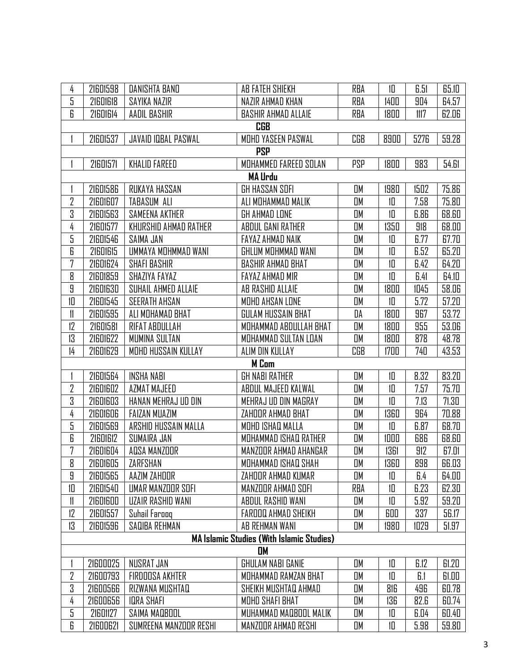| 4                                                | 21601598       | DANISHTA BAND          | AB FATEH SHIEKH            | RBA        | 10   | 6.51 | 65.10 |  |  |  |
|--------------------------------------------------|----------------|------------------------|----------------------------|------------|------|------|-------|--|--|--|
| 5                                                | 21601618       | SAYIKA NAZIR           | NAZIR AHMAD KHAN           | <b>RBA</b> | 1400 | 904  | 64.57 |  |  |  |
| 6                                                | 21601614       | AADIL BASHIR           | <b>BASHIR AHMAD ALLAIE</b> | RBA        | 1800 | 1117 | 62.06 |  |  |  |
|                                                  |                |                        | <b>CGB</b>                 |            |      |      |       |  |  |  |
|                                                  | 21601537       | JAVAID IQBAL PASWAL    | MOHD YASEEN PASWAL         | CGB        | 8900 | 5276 | 59.28 |  |  |  |
|                                                  | <b>PSP</b>     |                        |                            |            |      |      |       |  |  |  |
|                                                  | 21601571       | <b>KHALID FAREED</b>   | MOHAMMED FAREED SOLAN      | <b>PSP</b> | 1800 | 983  | 54.61 |  |  |  |
|                                                  | <b>MA Urdu</b> |                        |                            |            |      |      |       |  |  |  |
|                                                  | 21601586       | RUKAYA HASSAN          | GH HASSAN SOFI             | OM         | 1980 | 1502 | 75.86 |  |  |  |
| 2                                                | 21601607       | TABASUM ALI            | ALI MOHAMMAD MALIK         | OM         | 10   | 7.58 | 75.80 |  |  |  |
| 3                                                | 21601563       | SAMEENA AKTHER         | GH AHMAD LONE              | OM         | 10   | 6.86 | 68.60 |  |  |  |
| 4                                                | 21601577       | KHURSHID AHMAD RATHER  | ABDUL GANI RATHER          | OM         | 1350 | 918  | 68.00 |  |  |  |
| 5                                                | 21601546       | SAIMA JAN              | FAYAZ AHMAD NAIK           | OM         | 10   | 6.77 | 67.70 |  |  |  |
| 6                                                | 21601615       | UMMAYA MOHMMAD WANI    | GHLUM MOHMMAD WANI         | <b>OM</b>  | 10   | 6.52 | 65.20 |  |  |  |
| 7                                                | 21601624       | <b>SHAFI BASHIR</b>    | <b>BASHIR AHMAD BHAT</b>   | OM         | 10   | 6.42 | 64.20 |  |  |  |
| 8                                                | 21601859       | SHAZIYA FAYAZ          | FAYAZ AHMAD MIR            | OM         | 10   | 6.41 | 64.10 |  |  |  |
| 9                                                | 21601630       | SUHAIL AHMED ALLAIE    | AB RASHID ALLAIE           | OM         | 1800 | 1045 | 58.06 |  |  |  |
| 10                                               | 21601545       | <b>SEERATH AHSAN</b>   | MOHD AHSAN LONE            | OM         | 10   | 5.72 | 57.20 |  |  |  |
| 11                                               | 21601595       | ALI MOHAMAD BHAT       | GULAM HUSSAIN BHAT         | DA         | 1800 | 967  | 53.72 |  |  |  |
| 12                                               | 21601581       | RIFAT ABDULLAH         | MOHAMMAD ABDULLAH BHAT     | OM         | 1800 | 955  | 53.06 |  |  |  |
| 13                                               | 21601622       | MUMINA SULTAN          | MOHAMMAD SULTAN LOAN       | OM         | 1800 | 878  | 48.78 |  |  |  |
| $\frac{1}{4}$                                    | 21601629       | MOHD HUSSAIN KULLAY    | ALIM DIN KULLAY            | CGB        | 1700 | 740  | 43.53 |  |  |  |
|                                                  |                |                        | <b>M</b> Com               |            |      |      |       |  |  |  |
|                                                  | 21601564       | <b>INSHA NABI</b>      | <b>GH NABI RATHER</b>      | OM         | 10   | 8.32 | 83.20 |  |  |  |
| 2                                                | 21601602       | AZMAT MAJEED           | ABDUL MAJEED KALWAL        | OM         | 10   | 7.57 | 75.70 |  |  |  |
| 3                                                | 21601603       | HANAN MEHRAJ UD DIN    | MEHRAJ UD DIN MAGRAY       | OM         | 10   | 7.13 | 71.30 |  |  |  |
| 4                                                | 21601606       | <b>FAIZAN MUAZIM</b>   | ZAHOOR AHMAD BHAT          | <b>OM</b>  | 1360 | 964  | 70.88 |  |  |  |
| 5                                                | 21601569       | ARSHID HUSSAIN MALLA   | MOHD ISHAQ MALLA           | OM         | 10   | 6.87 | 68.70 |  |  |  |
| 6                                                | 21601612       | SUMAIRA JAN            | MOHAMMAD ISHAQ RATHER      | OM         | 1000 | 686  | 68.60 |  |  |  |
| 7                                                | 21601604       | AQSA MANZOOR           | MANZOOR AHMAD AHANGAR      | OM         | 1361 | 912  | 67.01 |  |  |  |
| 8                                                | 21601605       | ZARFSHAN               | MOHAMMAD ISHAQ SHAH        | OМ         | 1360 | 898  | 66.03 |  |  |  |
| 9                                                | 21601565       | AAZIM ZAHOOR           | ZAHOOR AHMAD KUMAR         | OM         | 10   | 6.4  | 64.00 |  |  |  |
| 10                                               | 21601540       | UMAR MANZOOR SOFI      | MANZOOR AHMAD SOFI         | RBA        | 10   | 6.23 | 62.30 |  |  |  |
| 11                                               | 21601600       | UZAIR RASHID WANI      | ABDUL RASHID WANI          | OM         | 10   | 5.92 | 59.20 |  |  |  |
| 12                                               | 21601557       | Suhail Farooq          | <b>FAROOQ AHMAD SHEIKH</b> | OM         | 600  | 337  | 56.17 |  |  |  |
| 13                                               | 21601596       | SAQIBA REHMAN          | AB REHMAN WANI             | OM         | 1980 | 1029 | 51.97 |  |  |  |
| <b>MA Islamic Studies (With Islamic Studies)</b> |                |                        |                            |            |      |      |       |  |  |  |
| <b>OM</b>                                        |                |                        |                            |            |      |      |       |  |  |  |
|                                                  | 21600025       | NUSRAT JAN             | GHULAM NABI GANIE          | OM         | 10   | 6.12 | 61.20 |  |  |  |
| 2                                                | 21600793       | FIRDOOSA AKHTER        | MOHAMMAD RAMZAN BHAT       | OM         | 10   | 6.1  | 61.00 |  |  |  |
| 3                                                | 21600566       | RIZWANA MUSHTAQ        | SHEIKH MUSHTAQ AHMAD       | OM         | 816  | 496  | 60.78 |  |  |  |
| 4                                                | 21600656       | <b>IDRA SHAFI</b>      | MOHD SHAFI BHAT            | OM         | 136  | 82.6 | 60.74 |  |  |  |
| 5                                                | 21601127       | SAIMA MAQBOOL          | MUHAMMAD MAQBOOL MALIK     | OM         | 10   | 6.04 | 60.40 |  |  |  |
| 6                                                | 21600621       | SUMREENA MANZOOR RESHI | MANZOOR AHMAD RESHI        | OM         | 10   | 5.98 | 59.80 |  |  |  |